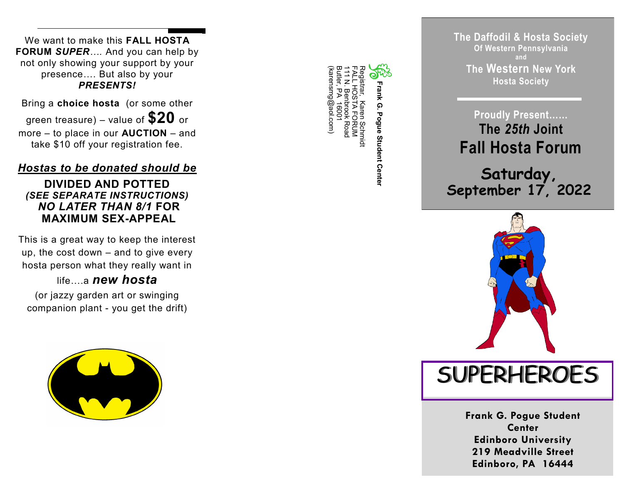We want to make this **FALL HOSTA FORUM** *SUPER….* And you can help by not only showing your support by your presence…. But also by your *PRESENTS!*

Bring a **choice hosta** (or some other green treasure) – value of **\$20** or more – to place in our **AUCTION** – and take \$10 off your registration fee.

# *Hostas to be donated should be*

#### **DIVIDED AND POTTED** *(SEE SEPARATE INSTRUCTIONS) NO LATER THAN 8/1* **FOR MAXIMUM SEX -APPEAL**

This is a great way to keep the interest up, the cost down – and to give every hosta person what they really want in

life **a new hosta** 

(or jazzy garden art or swinging companion plant - you get the drift)



(karensmg@aol.com) Butler, PA 16001 111 N. Benbrook Road FALL HOSTA FORUM Registrar, Karen Schmidt karensmg@aol.com **Frank G. Pogue Student Center**  $\Omega$ Pogue Student Center Schmidt

**The Daffodil & Hosta Society Of Western Pennsylvania and The Western New York Hosta Society**

**Proudly Present…… The** *25th* **Joint Fall Hosta Forum**

**Saturday, September 17, 2022**



**SUPERHEROES** 

**Frank G. Pogue Student Center Edinboro University 219 Meadville Street Edinboro, PA 16444**